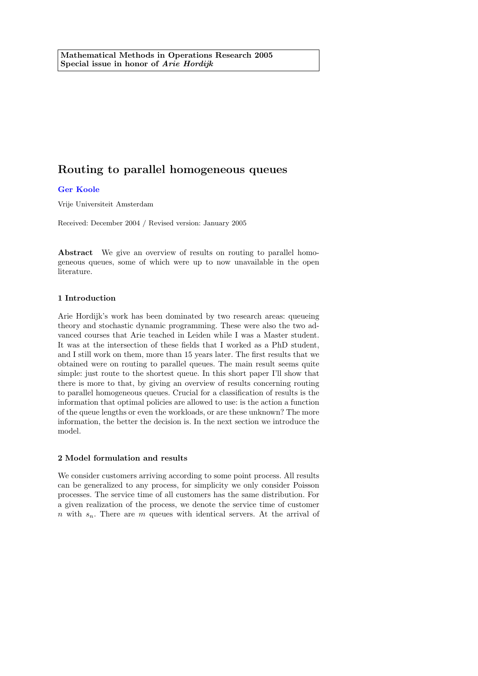# Routing to parallel homogeneous queues

## [Ger Koole](http://www.math.vu.nl/~koole)

Vrije Universiteit Amsterdam

Received: December 2004 / Revised version: January 2005

Abstract We give an overview of results on routing to parallel homogeneous queues, some of which were up to now unavailable in the open literature.

### 1 Introduction

Arie Hordijk's work has been dominated by two research areas: queueing theory and stochastic dynamic programming. These were also the two advanced courses that Arie teached in Leiden while I was a Master student. It was at the intersection of these fields that I worked as a PhD student, and I still work on them, more than 15 years later. The first results that we obtained were on routing to parallel queues. The main result seems quite simple: just route to the shortest queue. In this short paper I'll show that there is more to that, by giving an overview of results concerning routing to parallel homogeneous queues. Crucial for a classification of results is the information that optimal policies are allowed to use: is the action a function of the queue lengths or even the workloads, or are these unknown? The more information, the better the decision is. In the next section we introduce the model.

#### 2 Model formulation and results

We consider customers arriving according to some point process. All results can be generalized to any process, for simplicity we only consider Poisson processes. The service time of all customers has the same distribution. For a given realization of the process, we denote the service time of customer n with  $s_n$ . There are m queues with identical servers. At the arrival of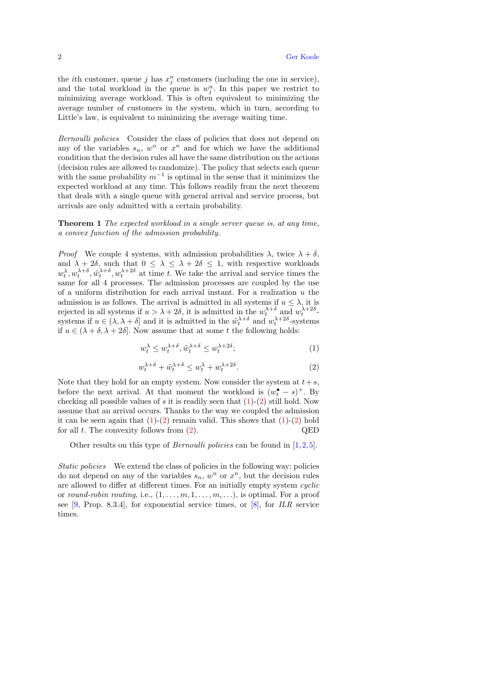the *i*th customer, queue *j* has  $x_j^n$  customers (including the one in service), and the total workload in the queue is  $w_j^n$ . In this paper we restrict to minimizing average workload. This is often equivalent to minimizing the average number of customers in the system, which in turn, according to Little's law, is equivalent to minimizing the average waiting time.

Bernoulli policies Consider the class of policies that does not depend on any of the variables  $s_n$ ,  $w^n$  or  $x^n$  and for which we have the additional condition that the decision rules all have the same distribution on the actions (decision rules are allowed to randomize). The policy that selects each queue with the same probability  $m^{-1}$  is optimal in the sense that it minimizes the expected workload at any time. This follows readily from the next theorem that deals with a single queue with general arrival and service process, but arrivals are only admitted with a certain probability.

Theorem 1 The expected workload in a single server queue is, at any time, a convex function of the admission probability.

*Proof* We couple 4 systems, with admission probabilities  $\lambda$ , twice  $\lambda + \delta$ , and  $\lambda + 2\delta$ , such that  $0 \leq \lambda \leq \lambda + 2\delta \leq 1$ , with respective workloads  $w_t^{\lambda}, w_t^{\lambda+\delta}, \tilde{w}_t^{\lambda+\delta}, w_t^{\lambda+2\delta}$  at time t. We take the arrival and service times the same for all 4 processes. The admission processes are coupled by the use of a uniform distribution for each arrival instant. For a realization  $u$  the admission is as follows. The arrival is admitted in all systems if  $u \leq \lambda$ , it is rejected in all systems if  $u > \lambda + 2\delta$ , it is admitted in the  $w_t^{\lambda+\delta}$  and  $w_t^{\lambda+2\delta}$ . systems if  $u \in (\lambda, \lambda + \delta]$  and it is admitted in the  $\tilde{w}_t^{\lambda+\delta}$  and  $w_t^{\lambda+2\delta}$ -systems if  $u \in (\lambda + \delta, \lambda + 2\delta]$ . Now assume that at some t the following holds:

<span id="page-1-0"></span>
$$
w_t^{\lambda} \le w_t^{\lambda+\delta}, \tilde{w}_t^{\lambda+\delta} \le w_t^{\lambda+2\delta};\tag{1}
$$

<span id="page-1-1"></span>
$$
w_t^{\lambda+\delta} + \tilde{w}_t^{\lambda+\delta} \le w_t^{\lambda} + w_t^{\lambda+2\delta}.
$$

Note that they hold for an empty system. Now consider the system at  $t+s$ , before the next arrival. At that moment the workload is  $(w_t^{\bullet} - s)^+$ . By checking all possible values of s it is readily seen that  $(1)-(2)$  $(1)-(2)$  $(1)-(2)$  still hold. Now assume that an arrival occurs. Thanks to the way we coupled the admission it can be seen again that  $(1)-(2)$  $(1)-(2)$  $(1)-(2)$  remain valid. This shows that  $(1)-(2)$  hold for all  $t$ . The convexity follows from  $(2)$ . QED

Other results on this type of *Bernoulli policies* can be found in  $[1,2,5]$  $[1,2,5]$  $[1,2,5]$ .

Static policies We extend the class of policies in the following way: policies do not depend on any of the variables  $s_n$ ,  $w^n$  or  $x^n$ , but the decision rules are allowed to differ at different times. For an initially empty system cyclic or round-robin routing, i.e.,  $(1, \ldots, m, 1, \ldots, m, \ldots)$ , is optimal. For a proof see [\[9,](#page-3-3) Prop. 8.3.4], for exponential service times, or  $[8]$ , for *ILR* service times.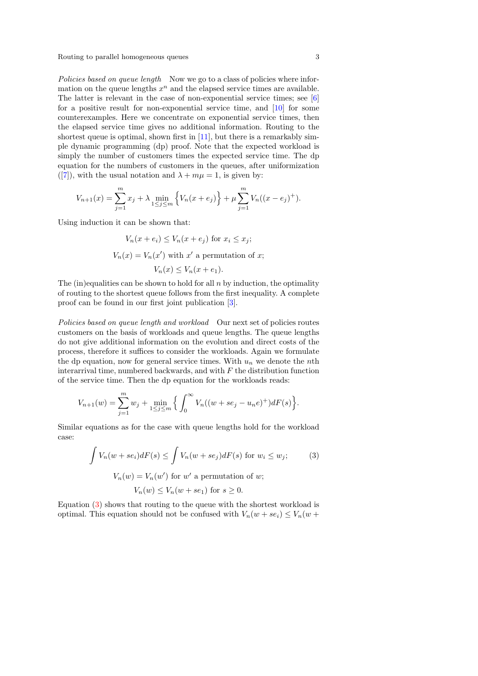Routing to parallel homogeneous queues 3

Policies based on queue length Now we go to a class of policies where information on the queue lengths  $x^n$  and the elapsed service times are available. The latter is relevant in the case of non-exponential service times; see [\[6\]](#page-3-5) for a positive result for non-exponential service time, and [\[10\]](#page-3-6) for some counterexamples. Here we concentrate on exponential service times, then the elapsed service time gives no additional information. Routing to the shortest queue is optimal, shown first in  $[11]$ , but there is a remarkably simple dynamic programming (dp) proof. Note that the expected workload is simply the number of customers times the expected service time. The dp equation for the numbers of customers in the queues, after uniformization ([\[7\]](#page-3-8)), with the usual notation and  $\lambda + m\mu = 1$ , is given by:

$$
V_{n+1}(x) = \sum_{j=1}^{m} x_j + \lambda \min_{1 \le j \le m} \left\{ V_n(x + e_j) \right\} + \mu \sum_{j=1}^{m} V_n((x - e_j)^+).
$$

Using induction it can be shown that:

$$
V_n(x + e_i) \le V_n(x + e_j) \text{ for } x_i \le x_j;
$$
  

$$
V_n(x) = V_n(x') \text{ with } x' \text{ a permutation of } x;
$$
  

$$
V_n(x) \le V_n(x + e_1).
$$

The (in)equalities can be shown to hold for all  $n$  by induction, the optimality of routing to the shortest queue follows from the first inequality. A complete proof can be found in our first joint publication [\[3\]](#page-3-9).

Policies based on queue length and workload Our next set of policies routes customers on the basis of workloads and queue lengths. The queue lengths do not give additional information on the evolution and direct costs of the process, therefore it suffices to consider the workloads. Again we formulate the dp equation, now for general service times. With  $u_n$  we denote the nth interarrival time, numbered backwards, and with  $F$  the distribution function of the service time. Then the dp equation for the workloads reads:

$$
V_{n+1}(w) = \sum_{j=1}^{m} w_j + \min_{1 \le j \le m} \left\{ \int_0^{\infty} V_n((w + s e_j - u_n e)^+) dF(s) \right\}.
$$

Similar equations as for the case with queue lengths hold for the workload case:

<span id="page-2-0"></span>
$$
\int V_n(w + s e_i) dF(s) \le \int V_n(w + s e_j) dF(s) \text{ for } w_i \le w_j;
$$
\n
$$
V_n(w) = V_n(w') \text{ for } w' \text{ a permutation of } w;
$$
\n
$$
V_n(w) \le V_n(w + s e_1) \text{ for } s \ge 0.
$$
\n(3)

Equation [\(3\)](#page-2-0) shows that routing to the queue with the shortest workload is optimal. This equation should not be confused with  $V_n(w + s e_i) \leq V_n(w + s e_i)$